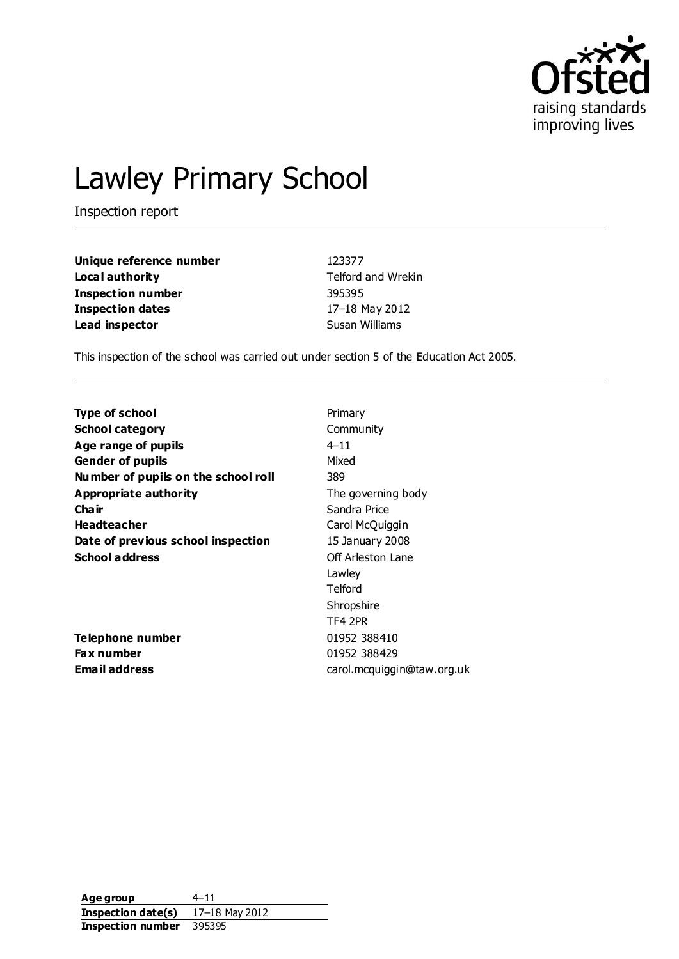

# Lawley Primary School

Inspection report

| Unique reference number | 123377                    |
|-------------------------|---------------------------|
| Local authority         | <b>Telford and Wrekin</b> |
| Inspection number       | 395395                    |
| <b>Inspection dates</b> | 17-18 May 2012            |
| Lead inspector          | Susan Williams            |

This inspection of the school was carried out under section 5 of the Education Act 2005.

| <b>Type of school</b>               | Primary                    |
|-------------------------------------|----------------------------|
| <b>School category</b>              | Community                  |
| Age range of pupils                 | $4 - 11$                   |
| <b>Gender of pupils</b>             | Mixed                      |
| Number of pupils on the school roll | 389                        |
| Appropriate authority               | The governing body         |
| Cha ir                              | Sandra Price               |
| <b>Headteacher</b>                  | Carol McQuiggin            |
| Date of previous school inspection  | 15 January 2008            |
| <b>School address</b>               | Off Arleston Lane          |
|                                     | Lawley                     |
|                                     | Telford                    |
|                                     | Shropshire                 |
|                                     | TF4 2PR                    |
| Telephone number                    | 01952 388410               |
| <b>Fax number</b>                   | 01952 388429               |
| Email address                       | carol.mcquiggin@taw.org.uk |
|                                     |                            |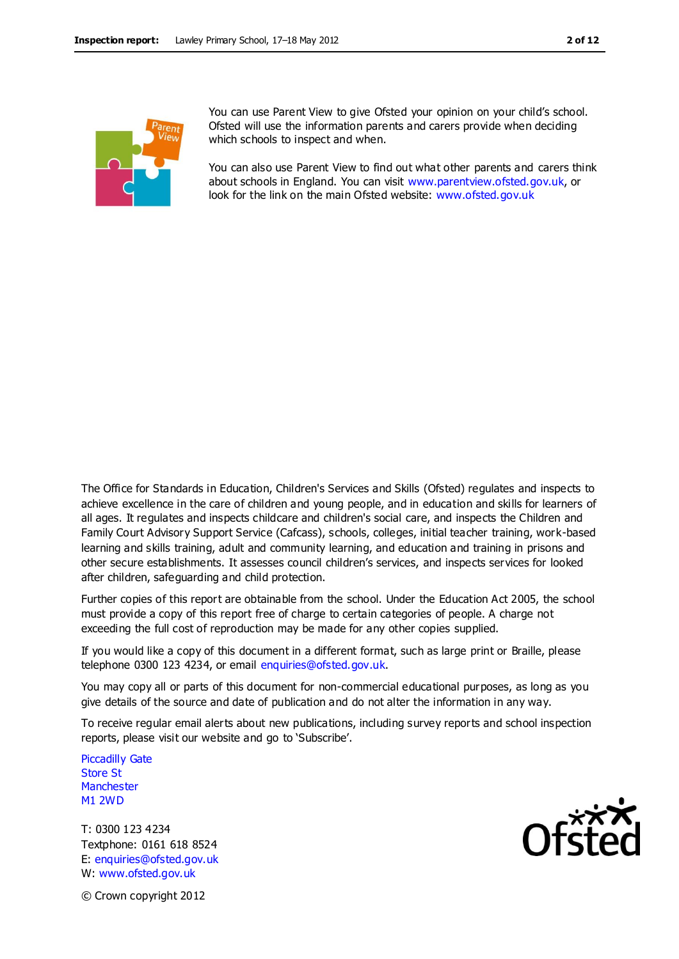

You can use Parent View to give Ofsted your opinion on your child's school. Ofsted will use the information parents and carers provide when deciding which schools to inspect and when.

You can also use Parent View to find out what other parents and carers think about schools in England. You can visit [www.parentview.ofsted.gov.uk,](http://www.parentview.ofsted.gov.uk/) or look for the link on the main Ofsted website: [www.ofsted.gov.uk](http://www.ofsted.gov.uk/)

The Office for Standards in Education, Children's Services and Skills (Ofsted) regulates and inspects to achieve excellence in the care of children and young people, and in education and skills for learners of all ages. It regulates and inspects childcare and children's social care, and inspects the Children and Family Court Advisory Support Service (Cafcass), schools, colleges, initial teacher training, work-based learning and skills training, adult and community learning, and education and training in prisons and other secure establishments. It assesses council children's services, and inspects services for looked after children, safeguarding and child protection.

Further copies of this report are obtainable from the school. Under the Education Act 2005, the school must provide a copy of this report free of charge to certain categories of people. A charge not exceeding the full cost of reproduction may be made for any other copies supplied.

If you would like a copy of this document in a different format, such as large print or Braille, please telephone 0300 123 4234, or email enquiries@ofsted.gov.uk.

You may copy all or parts of this document for non-commercial educational purposes, as long as you give details of the source and date of publication and do not alter the information in any way.

To receive regular email alerts about new publications, including survey reports and school inspection reports, please visit our website and go to 'Subscribe'.

Piccadilly Gate Store St **Manchester** M1 2WD

T: 0300 123 4234 Textphone: 0161 618 8524 E: enquiries@ofsted.gov.uk W: www.ofsted.gov.uk



© Crown copyright 2012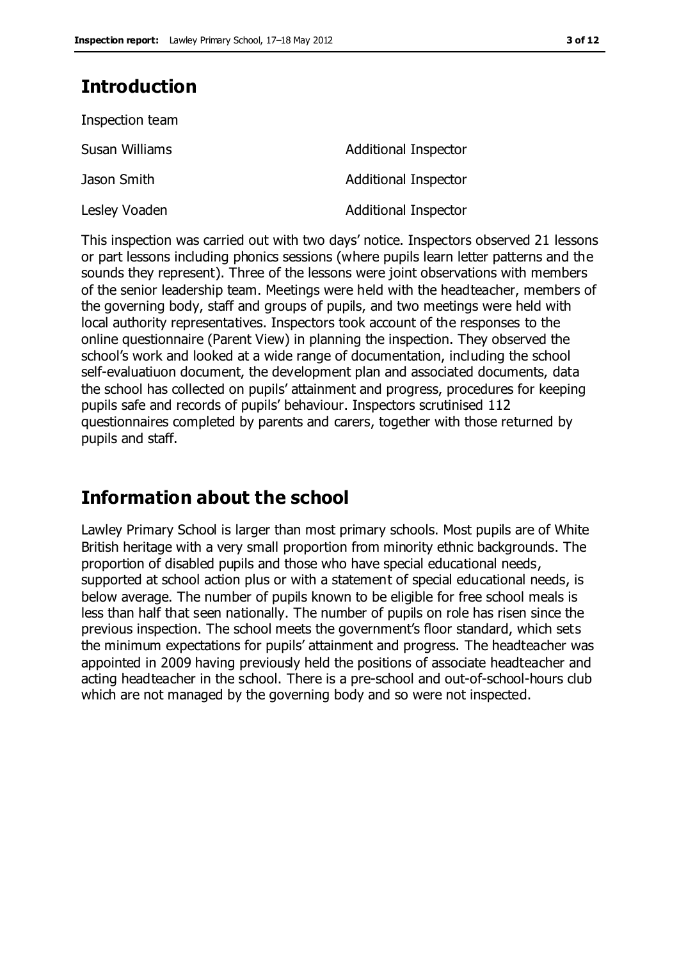## **Introduction**

| Inspection team |                             |
|-----------------|-----------------------------|
| Susan Williams  | <b>Additional Inspector</b> |
| Jason Smith     | <b>Additional Inspector</b> |
| Lesley Voaden   | <b>Additional Inspector</b> |

This inspection was carried out with two days' notice. Inspectors observed 21 lessons or part lessons including phonics sessions (where pupils learn letter patterns and the sounds they represent). Three of the lessons were joint observations with members of the senior leadership team. Meetings were held with the headteacher, members of the governing body, staff and groups of pupils, and two meetings were held with local authority representatives. Inspectors took account of the responses to the online questionnaire (Parent View) in planning the inspection. They observed the school's work and looked at a wide range of documentation, including the school self-evaluatiuon document, the development plan and associated documents, data the school has collected on pupils' attainment and progress, procedures for keeping pupils safe and records of pupils' behaviour. Inspectors scrutinised 112 questionnaires completed by parents and carers, together with those returned by pupils and staff.

## **Information about the school**

Lawley Primary School is larger than most primary schools. Most pupils are of White British heritage with a very small proportion from minority ethnic backgrounds. The proportion of disabled pupils and those who have special educational needs, supported at school action plus or with a statement of special educational needs, is below average. The number of pupils known to be eligible for free school meals is less than half that seen nationally. The number of pupils on role has risen since the previous inspection. The school meets the government's floor standard, which sets the minimum expectations for pupils' attainment and progress. The headteacher was appointed in 2009 having previously held the positions of associate headteacher and acting headteacher in the school. There is a pre-school and out-of-school-hours club which are not managed by the governing body and so were not inspected.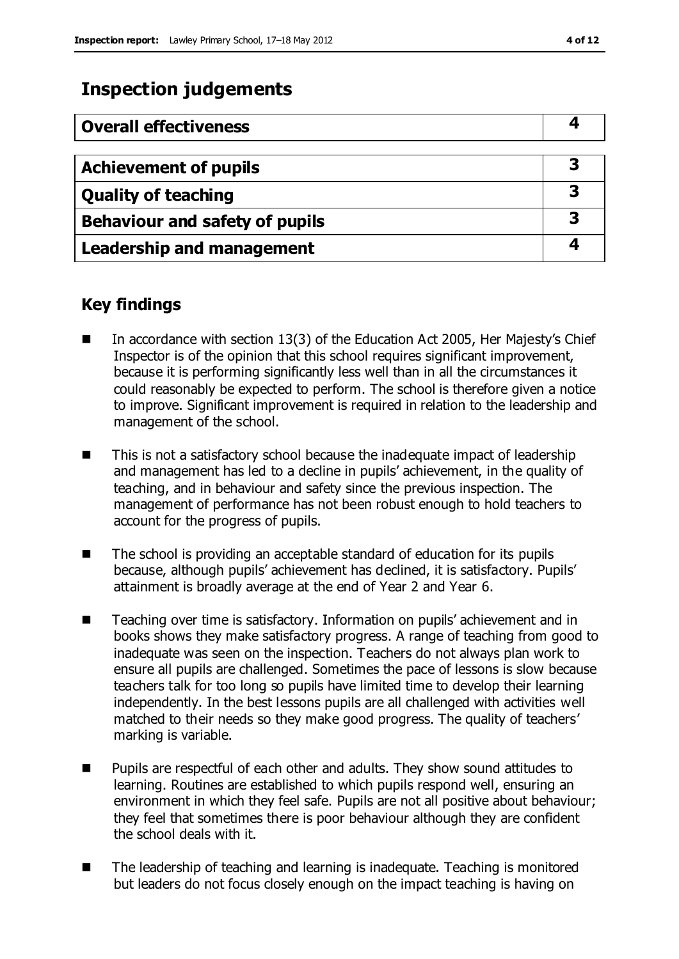## **Inspection judgements**

| <b>Overall effectiveness</b>     |   |
|----------------------------------|---|
|                                  |   |
| <b>Achievement of pupils</b>     |   |
| <b>Quality of teaching</b>       | 3 |
| Behaviour and safety of pupils   | 3 |
| <b>Leadership and management</b> |   |

## **Key findings**

- In accordance with section 13(3) of the Education Act 2005, Her Majesty's Chief Inspector is of the opinion that this school requires significant improvement, because it is performing significantly less well than in all the circumstances it could reasonably be expected to perform. The school is therefore given a notice to improve. Significant improvement is required in relation to the leadership and management of the school.
- This is not a satisfactory school because the inadequate impact of leadership and management has led to a decline in pupils' achievement, in the quality of teaching, and in behaviour and safety since the previous inspection. The management of performance has not been robust enough to hold teachers to account for the progress of pupils.
- The school is providing an acceptable standard of education for its pupils because, although pupils' achievement has declined, it is satisfactory. Pupils' attainment is broadly average at the end of Year 2 and Year 6.
- Teaching over time is satisfactory. Information on pupils' achievement and in books shows they make satisfactory progress. A range of teaching from good to inadequate was seen on the inspection. Teachers do not always plan work to ensure all pupils are challenged. Sometimes the pace of lessons is slow because teachers talk for too long so pupils have limited time to develop their learning independently. In the best lessons pupils are all challenged with activities well matched to their needs so they make good progress. The quality of teachers' marking is variable.
- Pupils are respectful of each other and adults. They show sound attitudes to learning. Routines are established to which pupils respond well, ensuring an environment in which they feel safe. Pupils are not all positive about behaviour; they feel that sometimes there is poor behaviour although they are confident the school deals with it.
- The leadership of teaching and learning is inadequate. Teaching is monitored but leaders do not focus closely enough on the impact teaching is having on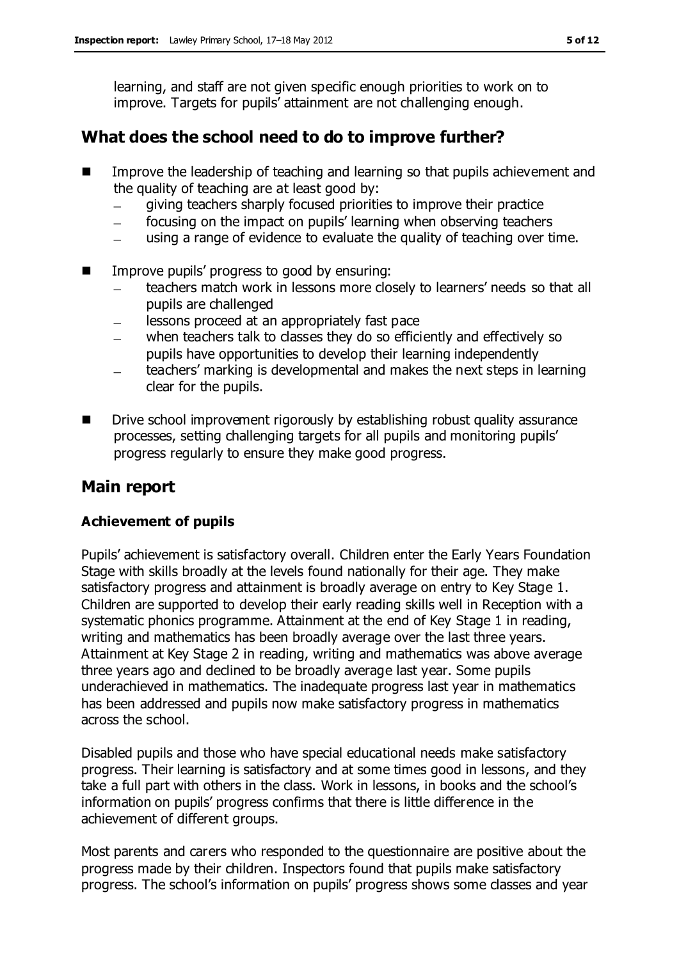learning, and staff are not given specific enough priorities to work on to improve. Targets for pupils' attainment are not challenging enough.

## **What does the school need to do to improve further?**

- Improve the leadership of teaching and learning so that pupils achievement and the quality of teaching are at least good by:
	- giving teachers sharply focused priorities to improve their practice  $\frac{1}{2}$
	- focusing on the impact on pupils' learning when observing teachers
	- using a range of evidence to evaluate the quality of teaching over time.  $\overline{\phantom{0}}$
- Improve pupils' progress to good by ensuring:
	- teachers match work in lessons more closely to learners' needs so that all pupils are challenged
	- lessons proceed at an appropriately fast pace  $\overline{\phantom{a}}$
	- when teachers talk to classes they do so efficiently and effectively so pupils have opportunities to develop their learning independently
	- teachers' marking is developmental and makes the next steps in learning clear for the pupils.
- Drive school improvement rigorously by establishing robust quality assurance processes, setting challenging targets for all pupils and monitoring pupils' progress regularly to ensure they make good progress.

## **Main report**

#### **Achievement of pupils**

Pupils' achievement is satisfactory overall. Children enter the Early Years Foundation Stage with skills broadly at the levels found nationally for their age. They make satisfactory progress and attainment is broadly average on entry to Key Stage 1. Children are supported to develop their early reading skills well in Reception with a systematic phonics programme. Attainment at the end of Key Stage 1 in reading, writing and mathematics has been broadly average over the last three years. Attainment at Key Stage 2 in reading, writing and mathematics was above average three years ago and declined to be broadly average last year. Some pupils underachieved in mathematics. The inadequate progress last year in mathematics has been addressed and pupils now make satisfactory progress in mathematics across the school.

Disabled pupils and those who have special educational needs make satisfactory progress. Their learning is satisfactory and at some times good in lessons, and they take a full part with others in the class. Work in lessons, in books and the school's information on pupils' progress confirms that there is little difference in the achievement of different groups.

Most parents and carers who responded to the questionnaire are positive about the progress made by their children. Inspectors found that pupils make satisfactory progress. The school's information on pupils' progress shows some classes and year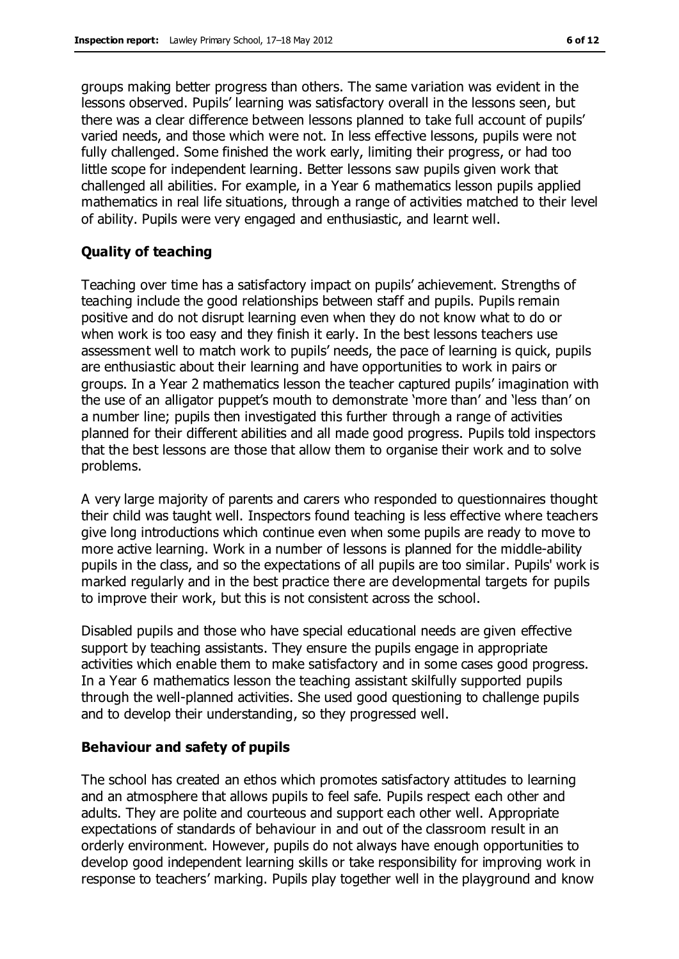groups making better progress than others. The same variation was evident in the lessons observed. Pupils' learning was satisfactory overall in the lessons seen, but there was a clear difference between lessons planned to take full account of pupils' varied needs, and those which were not. In less effective lessons, pupils were not fully challenged. Some finished the work early, limiting their progress, or had too little scope for independent learning. Better lessons saw pupils given work that challenged all abilities. For example, in a Year 6 mathematics lesson pupils applied mathematics in real life situations, through a range of activities matched to their level of ability. Pupils were very engaged and enthusiastic, and learnt well.

#### **Quality of teaching**

Teaching over time has a satisfactory impact on pupils' achievement. Strengths of teaching include the good relationships between staff and pupils. Pupils remain positive and do not disrupt learning even when they do not know what to do or when work is too easy and they finish it early. In the best lessons teachers use assessment well to match work to pupils' needs, the pace of learning is quick, pupils are enthusiastic about their learning and have opportunities to work in pairs or groups. In a Year 2 mathematics lesson the teacher captured pupils' imagination with the use of an alligator puppet's mouth to demonstrate 'more than' and 'less than' on a number line; pupils then investigated this further through a range of activities planned for their different abilities and all made good progress. Pupils told inspectors that the best lessons are those that allow them to organise their work and to solve problems.

A very large majority of parents and carers who responded to questionnaires thought their child was taught well. Inspectors found teaching is less effective where teachers give long introductions which continue even when some pupils are ready to move to more active learning. Work in a number of lessons is planned for the middle-ability pupils in the class, and so the expectations of all pupils are too similar. Pupils' work is marked regularly and in the best practice there are developmental targets for pupils to improve their work, but this is not consistent across the school.

Disabled pupils and those who have special educational needs are given effective support by teaching assistants. They ensure the pupils engage in appropriate activities which enable them to make satisfactory and in some cases good progress. In a Year 6 mathematics lesson the teaching assistant skilfully supported pupils through the well-planned activities. She used good questioning to challenge pupils and to develop their understanding, so they progressed well.

#### **Behaviour and safety of pupils**

The school has created an ethos which promotes satisfactory attitudes to learning and an atmosphere that allows pupils to feel safe. Pupils respect each other and adults. They are polite and courteous and support each other well. Appropriate expectations of standards of behaviour in and out of the classroom result in an orderly environment. However, pupils do not always have enough opportunities to develop good independent learning skills or take responsibility for improving work in response to teachers' marking. Pupils play together well in the playground and know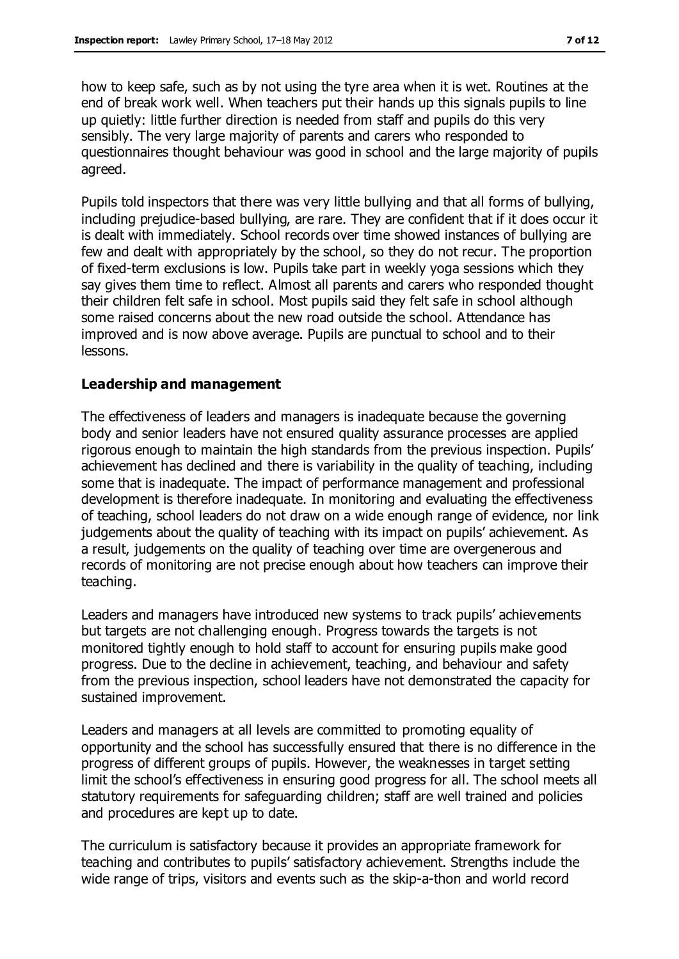how to keep safe, such as by not using the tyre area when it is wet. Routines at the end of break work well. When teachers put their hands up this signals pupils to line up quietly: little further direction is needed from staff and pupils do this very sensibly. The very large majority of parents and carers who responded to questionnaires thought behaviour was good in school and the large majority of pupils agreed.

Pupils told inspectors that there was very little bullying and that all forms of bullying, including prejudice-based bullying, are rare. They are confident that if it does occur it is dealt with immediately. School records over time showed instances of bullying are few and dealt with appropriately by the school, so they do not recur. The proportion of fixed-term exclusions is low. Pupils take part in weekly yoga sessions which they say gives them time to reflect. Almost all parents and carers who responded thought their children felt safe in school. Most pupils said they felt safe in school although some raised concerns about the new road outside the school. Attendance has improved and is now above average. Pupils are punctual to school and to their lessons.

#### **Leadership and management**

The effectiveness of leaders and managers is inadequate because the governing body and senior leaders have not ensured quality assurance processes are applied rigorous enough to maintain the high standards from the previous inspection. Pupils' achievement has declined and there is variability in the quality of teaching, including some that is inadequate. The impact of performance management and professional development is therefore inadequate. In monitoring and evaluating the effectiveness of teaching, school leaders do not draw on a wide enough range of evidence, nor link judgements about the quality of teaching with its impact on pupils' achievement. As a result, judgements on the quality of teaching over time are overgenerous and records of monitoring are not precise enough about how teachers can improve their teaching.

Leaders and managers have introduced new systems to track pupils' achievements but targets are not challenging enough. Progress towards the targets is not monitored tightly enough to hold staff to account for ensuring pupils make good progress. Due to the decline in achievement, teaching, and behaviour and safety from the previous inspection, school leaders have not demonstrated the capacity for sustained improvement.

Leaders and managers at all levels are committed to promoting equality of opportunity and the school has successfully ensured that there is no difference in the progress of different groups of pupils. However, the weaknesses in target setting limit the school's effectiveness in ensuring good progress for all. The school meets all statutory requirements for safeguarding children; staff are well trained and policies and procedures are kept up to date.

The curriculum is satisfactory because it provides an appropriate framework for teaching and contributes to pupils' satisfactory achievement. Strengths include the wide range of trips, visitors and events such as the skip-a-thon and world record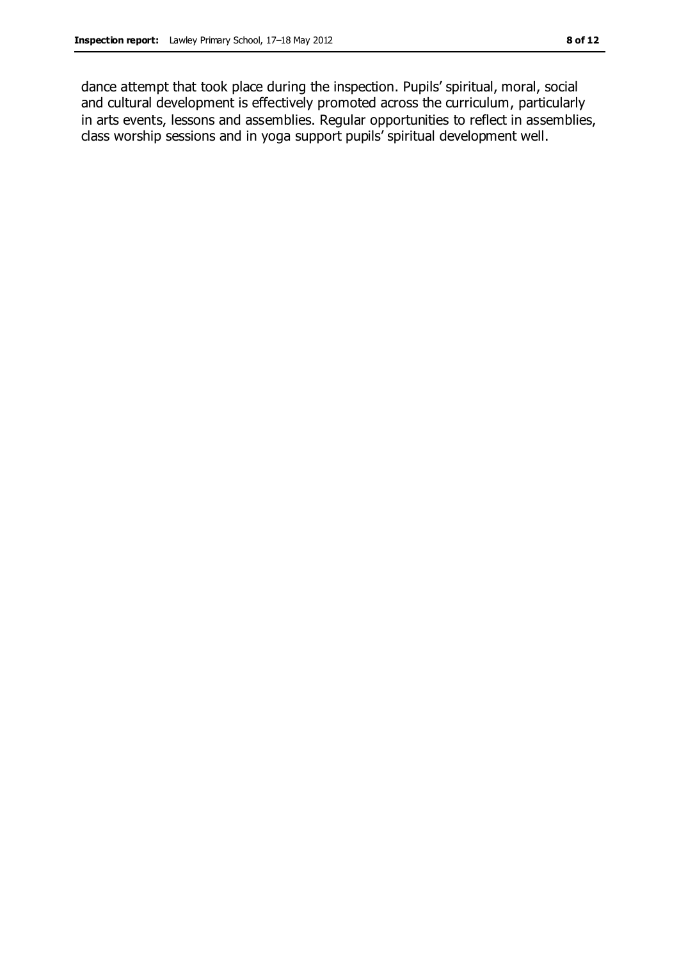dance attempt that took place during the inspection. Pupils' spiritual, moral, social and cultural development is effectively promoted across the curriculum, particularly in arts events, lessons and assemblies. Regular opportunities to reflect in assemblies, class worship sessions and in yoga support pupils' spiritual development well.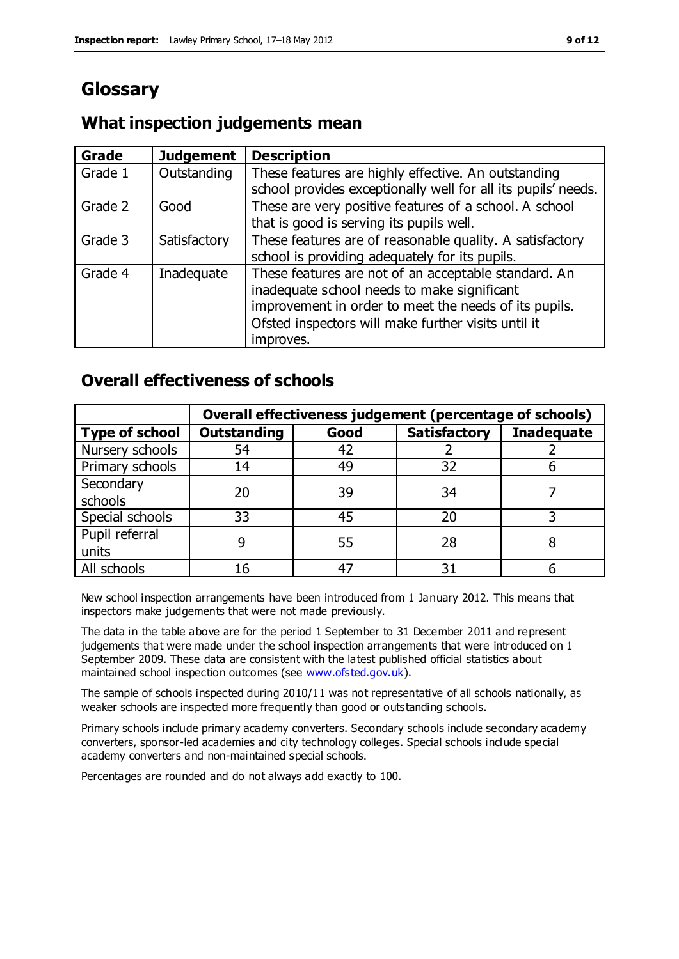# **Glossary**

## **What inspection judgements mean**

| <b>Grade</b> | <b>Judgement</b> | <b>Description</b>                                            |
|--------------|------------------|---------------------------------------------------------------|
| Grade 1      | Outstanding      | These features are highly effective. An outstanding           |
|              |                  | school provides exceptionally well for all its pupils' needs. |
| Grade 2      | Good             | These are very positive features of a school. A school        |
|              |                  | that is good is serving its pupils well.                      |
| Grade 3      | Satisfactory     | These features are of reasonable quality. A satisfactory      |
|              |                  | school is providing adequately for its pupils.                |
| Grade 4      | Inadequate       | These features are not of an acceptable standard. An          |
|              |                  | inadequate school needs to make significant                   |
|              |                  | improvement in order to meet the needs of its pupils.         |
|              |                  | Ofsted inspectors will make further visits until it           |
|              |                  | improves.                                                     |

## **Overall effectiveness of schools**

|                       |                    |      | Overall effectiveness judgement (percentage of schools) |                   |
|-----------------------|--------------------|------|---------------------------------------------------------|-------------------|
| <b>Type of school</b> | <b>Outstanding</b> | Good | <b>Satisfactory</b>                                     | <b>Inadequate</b> |
| Nursery schools       | 54                 | 42   |                                                         |                   |
| Primary schools       | 14                 | 49   | 32                                                      |                   |
| Secondary             | 20                 | 39   | 34                                                      |                   |
| schools               |                    |      |                                                         |                   |
| Special schools       | 33                 | 45   | 20                                                      |                   |
| Pupil referral        |                    | 55   | 28                                                      |                   |
| units                 |                    |      |                                                         |                   |
| All schools           | 16                 | 47   | 31                                                      |                   |

New school inspection arrangements have been introduced from 1 January 2012. This means that inspectors make judgements that were not made previously.

The data in the table above are for the period 1 September to 31 December 2011 and represent judgements that were made under the school inspection arrangements that were introduced on 1 September 2009. These data are consistent with the latest published official statistics about maintained school inspection outcomes (see [www.ofsted.gov.uk\)](http://www.ofsted.gov.uk/).

The sample of schools inspected during 2010/11 was not representative of all schools nationally, as weaker schools are inspected more frequently than good or outstanding schools.

Primary schools include primary academy converters. Secondary schools include secondary academy converters, sponsor-led academies and city technology colleges. Special schools include special academy converters and non-maintained special schools.

Percentages are rounded and do not always add exactly to 100.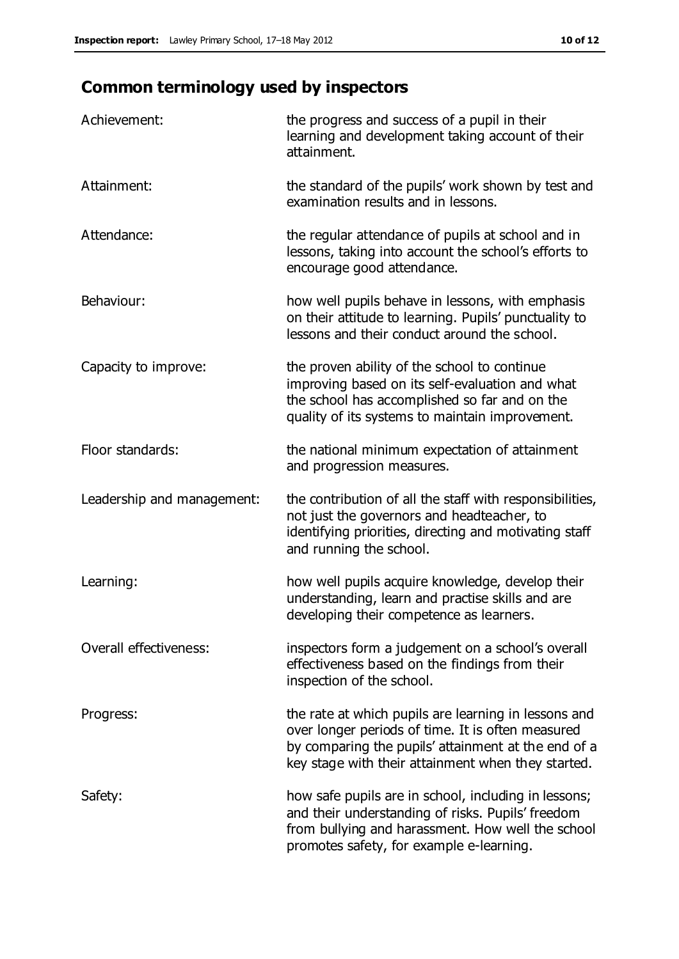# **Common terminology used by inspectors**

| Achievement:                  | the progress and success of a pupil in their<br>learning and development taking account of their<br>attainment.                                                                                                        |
|-------------------------------|------------------------------------------------------------------------------------------------------------------------------------------------------------------------------------------------------------------------|
| Attainment:                   | the standard of the pupils' work shown by test and<br>examination results and in lessons.                                                                                                                              |
| Attendance:                   | the regular attendance of pupils at school and in<br>lessons, taking into account the school's efforts to<br>encourage good attendance.                                                                                |
| Behaviour:                    | how well pupils behave in lessons, with emphasis<br>on their attitude to learning. Pupils' punctuality to<br>lessons and their conduct around the school.                                                              |
| Capacity to improve:          | the proven ability of the school to continue<br>improving based on its self-evaluation and what<br>the school has accomplished so far and on the<br>quality of its systems to maintain improvement.                    |
| Floor standards:              | the national minimum expectation of attainment<br>and progression measures.                                                                                                                                            |
| Leadership and management:    | the contribution of all the staff with responsibilities,<br>not just the governors and headteacher, to<br>identifying priorities, directing and motivating staff<br>and running the school.                            |
| Learning:                     | how well pupils acquire knowledge, develop their<br>understanding, learn and practise skills and are<br>developing their competence as learners.                                                                       |
| <b>Overall effectiveness:</b> | inspectors form a judgement on a school's overall<br>effectiveness based on the findings from their<br>inspection of the school.                                                                                       |
| Progress:                     | the rate at which pupils are learning in lessons and<br>over longer periods of time. It is often measured<br>by comparing the pupils' attainment at the end of a<br>key stage with their attainment when they started. |
| Safety:                       | how safe pupils are in school, including in lessons;<br>and their understanding of risks. Pupils' freedom<br>from bullying and harassment. How well the school<br>promotes safety, for example e-learning.             |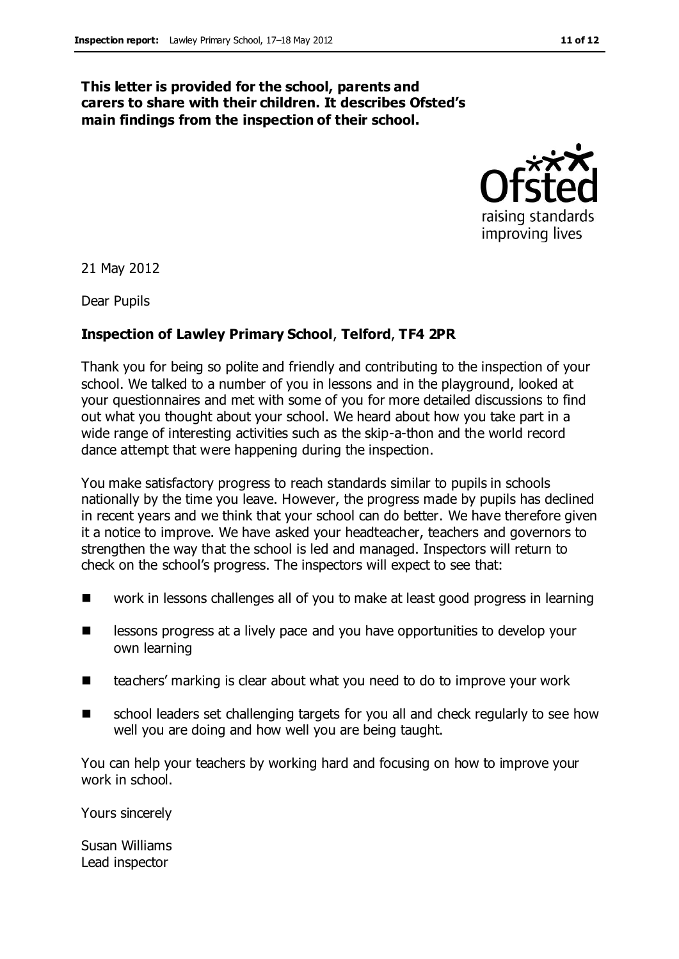#### **This letter is provided for the school, parents and carers to share with their children. It describes Ofsted's main findings from the inspection of their school.**



21 May 2012

Dear Pupils

#### **Inspection of Lawley Primary School**, **Telford**, **TF4 2PR**

Thank you for being so polite and friendly and contributing to the inspection of your school. We talked to a number of you in lessons and in the playground, looked at your questionnaires and met with some of you for more detailed discussions to find out what you thought about your school. We heard about how you take part in a wide range of interesting activities such as the skip-a-thon and the world record dance attempt that were happening during the inspection.

You make satisfactory progress to reach standards similar to pupils in schools nationally by the time you leave. However, the progress made by pupils has declined in recent years and we think that your school can do better. We have therefore given it a notice to improve. We have asked your headteacher, teachers and governors to strengthen the way that the school is led and managed. Inspectors will return to check on the school's progress. The inspectors will expect to see that:

- work in lessons challenges all of you to make at least good progress in learning
- **EXECUTE:** lessons progress at a lively pace and you have opportunities to develop your own learning
- teachers' marking is clear about what you need to do to improve your work
- school leaders set challenging targets for you all and check regularly to see how well you are doing and how well you are being taught.

You can help your teachers by working hard and focusing on how to improve your work in school.

Yours sincerely

Susan Williams Lead inspector